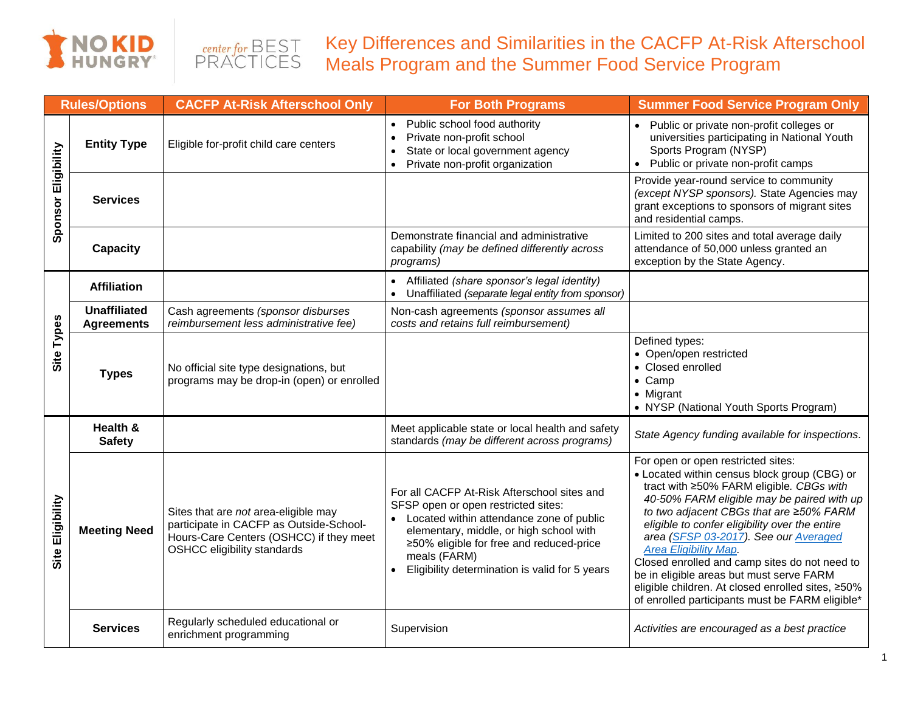



Key Differences and Similarities in the CACFP At-Risk Afterschool Meals Program and the Summer Food Service Program

| <b>Rules/Options</b> |                                          | <b>CACFP At-Risk Afterschool Only</b>                                                                                                                            | <b>For Both Programs</b>                                                                                                                                                                                                                                                                | <b>Summer Food Service Program Only</b>                                                                                                                                                                                                                                                                                                                                                                                                                                                                                                                 |  |  |
|----------------------|------------------------------------------|------------------------------------------------------------------------------------------------------------------------------------------------------------------|-----------------------------------------------------------------------------------------------------------------------------------------------------------------------------------------------------------------------------------------------------------------------------------------|---------------------------------------------------------------------------------------------------------------------------------------------------------------------------------------------------------------------------------------------------------------------------------------------------------------------------------------------------------------------------------------------------------------------------------------------------------------------------------------------------------------------------------------------------------|--|--|
| Sponsor Eligibility  | <b>Entity Type</b>                       | Eligible for-profit child care centers                                                                                                                           | Public school food authority<br>$\bullet$<br>Private non-profit school<br>$\bullet$<br>State or local government agency<br>$\bullet$<br>Private non-profit organization<br>$\bullet$                                                                                                    | Public or private non-profit colleges or<br>universities participating in National Youth<br>Sports Program (NYSP)<br>Public or private non-profit camps                                                                                                                                                                                                                                                                                                                                                                                                 |  |  |
|                      | <b>Services</b>                          |                                                                                                                                                                  |                                                                                                                                                                                                                                                                                         | Provide year-round service to community<br>(except NYSP sponsors). State Agencies may<br>grant exceptions to sponsors of migrant sites<br>and residential camps.                                                                                                                                                                                                                                                                                                                                                                                        |  |  |
|                      | Capacity                                 |                                                                                                                                                                  | Demonstrate financial and administrative<br>capability (may be defined differently across<br>programs)                                                                                                                                                                                  | Limited to 200 sites and total average daily<br>attendance of 50,000 unless granted an<br>exception by the State Agency.                                                                                                                                                                                                                                                                                                                                                                                                                                |  |  |
| Site Types           | <b>Affiliation</b>                       |                                                                                                                                                                  | Affiliated (share sponsor's legal identity)<br>$\bullet$<br>Unaffiliated (separate legal entity from sponsor)                                                                                                                                                                           |                                                                                                                                                                                                                                                                                                                                                                                                                                                                                                                                                         |  |  |
|                      | <b>Unaffiliated</b><br><b>Agreements</b> | Cash agreements (sponsor disburses<br>reimbursement less administrative fee)                                                                                     | Non-cash agreements (sponsor assumes all<br>costs and retains full reimbursement)                                                                                                                                                                                                       |                                                                                                                                                                                                                                                                                                                                                                                                                                                                                                                                                         |  |  |
|                      | <b>Types</b>                             | No official site type designations, but<br>programs may be drop-in (open) or enrolled                                                                            |                                                                                                                                                                                                                                                                                         | Defined types:<br>• Open/open restricted<br>• Closed enrolled<br>$\bullet$ Camp<br>• Migrant<br>• NYSP (National Youth Sports Program)                                                                                                                                                                                                                                                                                                                                                                                                                  |  |  |
| Site Eligibility     | Health &<br><b>Safety</b>                |                                                                                                                                                                  | Meet applicable state or local health and safety<br>standards (may be different across programs)                                                                                                                                                                                        | State Agency funding available for inspections.                                                                                                                                                                                                                                                                                                                                                                                                                                                                                                         |  |  |
|                      | <b>Meeting Need</b>                      | Sites that are not area-eligible may<br>participate in CACFP as Outside-School-<br>Hours-Care Centers (OSHCC) if they meet<br><b>OSHCC eligibility standards</b> | For all CACFP At-Risk Afterschool sites and<br>SFSP open or open restricted sites:<br>Located within attendance zone of public<br>elementary, middle, or high school with<br>≥50% eligible for free and reduced-price<br>meals (FARM)<br>Eligibility determination is valid for 5 years | For open or open restricted sites:<br>• Located within census block group (CBG) or<br>tract with ≥50% FARM eligible. CBGs with<br>40-50% FARM eligible may be paired with up<br>to two adjacent CBGs that are ≥50% FARM<br>eligible to confer eligibility over the entire<br>area (SFSP 03-2017). See our Averaged<br><b>Area Eligibility Map.</b><br>Closed enrolled and camp sites do not need to<br>be in eligible areas but must serve FARM<br>eligible children. At closed enrolled sites, ≥50%<br>of enrolled participants must be FARM eligible* |  |  |
|                      | <b>Services</b>                          | Regularly scheduled educational or<br>enrichment programming                                                                                                     | Supervision                                                                                                                                                                                                                                                                             | Activities are encouraged as a best practice                                                                                                                                                                                                                                                                                                                                                                                                                                                                                                            |  |  |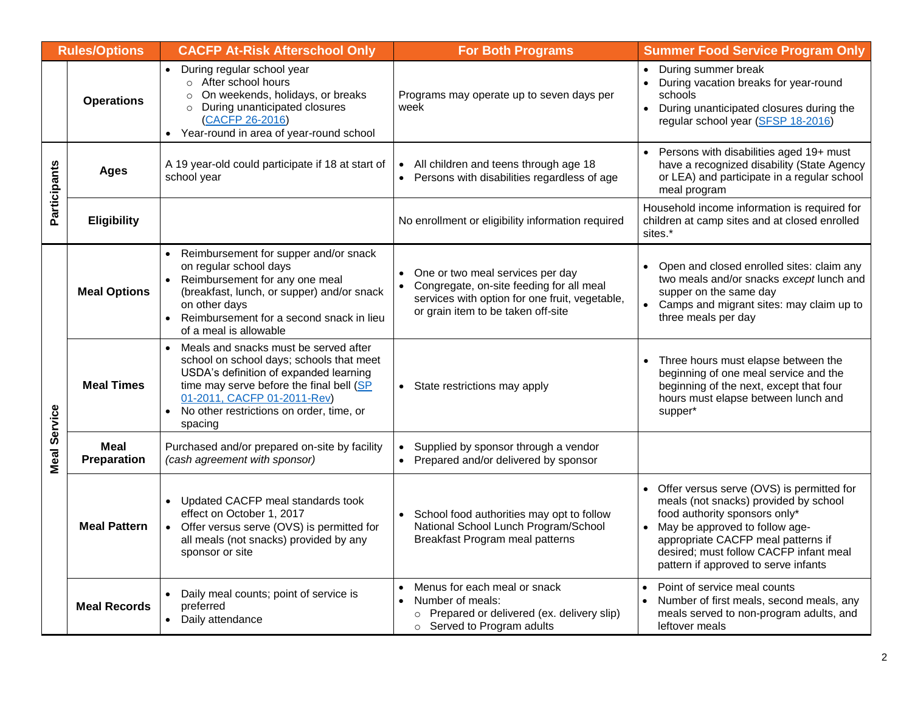| <b>Rules/Options</b> |                     | <b>CACFP At-Risk Afterschool Only</b>                                                                                                                                                                                                                                      | <b>For Both Programs</b>                                                                                                                                             | <b>Summer Food Service Program Only</b>                                                                                                                                                                                                                                           |  |  |  |
|----------------------|---------------------|----------------------------------------------------------------------------------------------------------------------------------------------------------------------------------------------------------------------------------------------------------------------------|----------------------------------------------------------------------------------------------------------------------------------------------------------------------|-----------------------------------------------------------------------------------------------------------------------------------------------------------------------------------------------------------------------------------------------------------------------------------|--|--|--|
|                      | <b>Operations</b>   | During regular school year<br>$\bullet$<br>o After school hours<br>On weekends, holidays, or breaks<br>$\circ$<br>o During unanticipated closures<br>(CACFP 26-2016)<br>• Year-round in area of year-round school                                                          | Programs may operate up to seven days per<br>week                                                                                                                    | • During summer break<br>• During vacation breaks for year-round<br>schools<br>During unanticipated closures during the<br>$\bullet$<br>regular school year (SFSP 18-2016)                                                                                                        |  |  |  |
| Participants         | <b>Ages</b>         | A 19 year-old could participate if 18 at start of<br>school year                                                                                                                                                                                                           | All children and teens through age 18<br>$\bullet$<br>Persons with disabilities regardless of age<br>$\bullet$                                                       | Persons with disabilities aged 19+ must<br>have a recognized disability (State Agency<br>or LEA) and participate in a regular school<br>meal program                                                                                                                              |  |  |  |
|                      | <b>Eligibility</b>  |                                                                                                                                                                                                                                                                            | No enrollment or eligibility information required                                                                                                                    | Household income information is required for<br>children at camp sites and at closed enrolled<br>sites.*                                                                                                                                                                          |  |  |  |
| <b>Meal Service</b>  | <b>Meal Options</b> | Reimbursement for supper and/or snack<br>on regular school days<br>Reimbursement for any one meal<br>(breakfast, lunch, or supper) and/or snack<br>on other days<br>Reimbursement for a second snack in lieu<br>of a meal is allowable                                     | One or two meal services per day<br>Congregate, on-site feeding for all meal<br>services with option for one fruit, vegetable,<br>or grain item to be taken off-site | Open and closed enrolled sites: claim any<br>two meals and/or snacks except lunch and<br>supper on the same day<br>• Camps and migrant sites: may claim up to<br>three meals per day                                                                                              |  |  |  |
|                      | <b>Meal Times</b>   | Meals and snacks must be served after<br>$\bullet$<br>school on school days; schools that meet<br>USDA's definition of expanded learning<br>time may serve before the final bell (SP<br>01-2011, CACFP 01-2011-Rev)<br>No other restrictions on order, time, or<br>spacing | • State restrictions may apply                                                                                                                                       | • Three hours must elapse between the<br>beginning of one meal service and the<br>beginning of the next, except that four<br>hours must elapse between lunch and<br>supper*                                                                                                       |  |  |  |
|                      | Meal<br>Preparation | Purchased and/or prepared on-site by facility<br>(cash agreement with sponsor)                                                                                                                                                                                             | Supplied by sponsor through a vendor<br>$\bullet$<br>Prepared and/or delivered by sponsor<br>$\bullet$                                                               |                                                                                                                                                                                                                                                                                   |  |  |  |
|                      | <b>Meal Pattern</b> | Updated CACFP meal standards took<br>effect on October 1, 2017<br>• Offer versus serve (OVS) is permitted for<br>all meals (not snacks) provided by any<br>sponsor or site                                                                                                 | School food authorities may opt to follow<br>National School Lunch Program/School<br>Breakfast Program meal patterns                                                 | • Offer versus serve (OVS) is permitted for<br>meals (not snacks) provided by school<br>food authority sponsors only*<br>• May be approved to follow age-<br>appropriate CACFP meal patterns if<br>desired; must follow CACFP infant meal<br>pattern if approved to serve infants |  |  |  |
|                      | <b>Meal Records</b> | Daily meal counts; point of service is<br>preferred<br>• Daily attendance                                                                                                                                                                                                  | Menus for each meal or snack<br>$\bullet$<br>Number of meals:<br>$\bullet$<br>o Prepared or delivered (ex. delivery slip)<br>o Served to Program adults              | Point of service meal counts<br>$\bullet$<br>Number of first meals, second meals, any<br>$\bullet$<br>meals served to non-program adults, and<br>leftover meals                                                                                                                   |  |  |  |